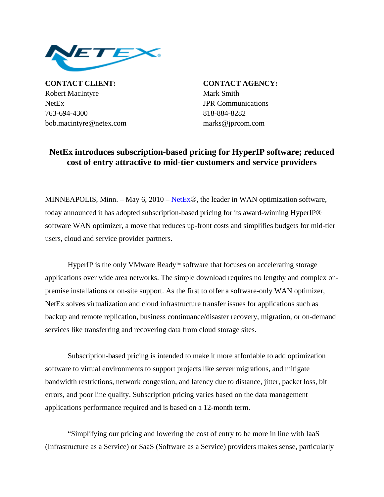

**CONTACT CLIENT: CONTACT AGENCY:** Robert MacIntyre Mark Smith NetEx JPR Communications 763-694-4300 818-884-8282 bob.macintyre@netex.com marks@jprcom.com

## **NetEx introduces subscription-based pricing for HyperIP software; reduced cost of entry attractive to mid-tier customers and service providers**

MINNEAPOLIS, Minn. – May 6, 2010 – [NetEx](http://www.netex.com/)®, the leader in WAN optimization software, today announced it has adopted subscription-based pricing for its award-winning HyperIP® software WAN optimizer, a move that reduces up-front costs and simplifies budgets for mid-tier users, cloud and service provider partners.

 HyperIP is the only VMware Ready™ software that focuses on accelerating storage applications over wide area networks. The simple download requires no lengthy and complex onpremise installations or on-site support. As the first to offer a software-only WAN optimizer, NetEx solves virtualization and cloud infrastructure transfer issues for applications such as backup and remote replication, business continuance/disaster recovery, migration, or on-demand services like transferring and recovering data from cloud storage sites.

Subscription-based pricing is intended to make it more affordable to add optimization software to virtual environments to support projects like server migrations, and mitigate bandwidth restrictions, network congestion, and latency due to distance, jitter, packet loss, bit errors, and poor line quality. Subscription pricing varies based on the data management applications performance required and is based on a 12-month term.

 "Simplifying our pricing and lowering the cost of entry to be more in line with IaaS (Infrastructure as a Service) or SaaS (Software as a Service) providers makes sense, particularly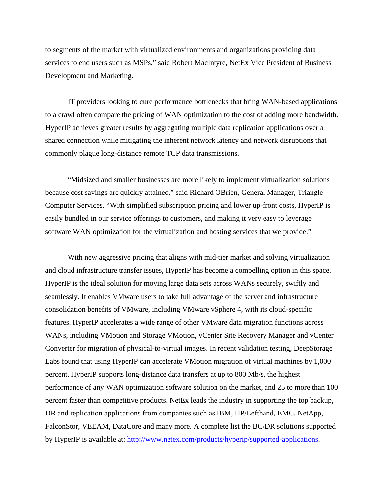to segments of the market with virtualized environments and organizations providing data services to end users such as MSPs," said Robert MacIntyre, NetEx Vice President of Business Development and Marketing.

IT providers looking to cure performance bottlenecks that bring WAN-based applications to a crawl often compare the pricing of WAN optimization to the cost of adding more bandwidth. HyperIP achieves greater results by aggregating multiple data replication applications over a shared connection while mitigating the inherent network latency and network disruptions that commonly plague long-distance remote TCP data transmissions.

"Midsized and smaller businesses are more likely to implement virtualization solutions because cost savings are quickly attained," said Richard OBrien, General Manager, Triangle Computer Services. "With simplified subscription pricing and lower up-front costs, HyperIP is easily bundled in our service offerings to customers, and making it very easy to leverage software WAN optimization for the virtualization and hosting services that we provide."

With new aggressive pricing that aligns with mid-tier market and solving virtualization and cloud infrastructure transfer issues, HyperIP has become a compelling option in this space. HyperIP is the ideal solution for moving large data sets across WANs securely, swiftly and seamlessly. It enables VMware users to take full advantage of the server and infrastructure consolidation benefits of VMware, including VMware vSphere 4, with its cloud-specific features. HyperIP accelerates a wide range of other VMware data migration functions across WANs, including VMotion and Storage VMotion, vCenter Site Recovery Manager and vCenter Converter for migration of physical-to-virtual images. In recent validation testing, DeepStorage Labs found that using HyperIP can accelerate VMotion migration of virtual machines by 1,000 percent. HyperIP supports long-distance data transfers at up to 800 Mb/s, the highest performance of any WAN optimization software solution on the market, and 25 to more than 100 percent faster than competitive products. NetEx leads the industry in supporting the top backup, DR and replication applications from companies such as IBM, HP/Lefthand, EMC, NetApp, FalconStor, VEEAM, DataCore and many more. A complete list the BC/DR solutions supported by HyperIP is available at: [http://www.netex.com/products/hyperip/supported-applications.](http://www.netex.com/products/hyperip/supported-applications)